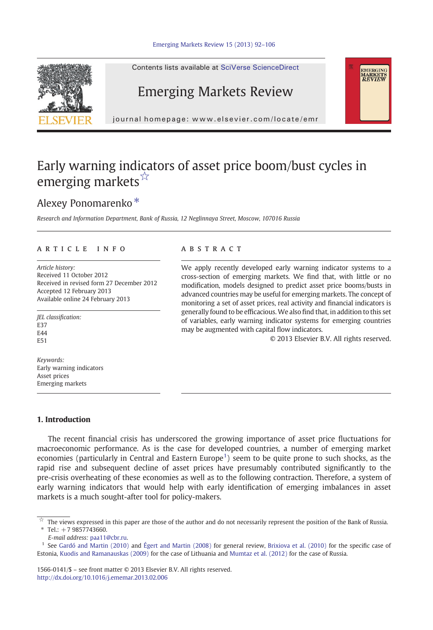

Contents lists available at SciVerse ScienceDirect

## Emerging Markets Review

journal homepage: www.elsevier.com/locate/emr

## Early warning indicators of asset price boom/bust cycles in emerging markets $\mathbb{X}$

## Alexey Ponomarenko<sup>\*</sup>

Research and Information Department, Bank of Russia, 12 Neglinnaya Street, Moscow, 107016 Russia

### article info abstract

Article history: Received 11 October 2012 Received in revised form 27 December 2012 Accepted 12 February 2013 Available online 24 February 2013

JEL classification: E37  $FAA$ E51

Keywords: Early warning indicators Asset prices Emerging markets

We apply recently developed early warning indicator systems to a cross-section of emerging markets. We find that, with little or no modification, models designed to predict asset price booms/busts in advanced countries may be useful for emerging markets. The concept of monitoring a set of asset prices, real activity and financial indicators is generally found to be efficacious.We also find that, in addition to this set of variables, early warning indicator systems for emerging countries may be augmented with capital flow indicators.

© 2013 Elsevier B.V. All rights reserved.

EMERGING<br>MARKETS<br>*REVIEW* 

### 1. Introduction

The recent financial crisis has underscored the growing importance of asset price fluctuations for macroeconomic performance. As is the case for developed countries, a number of emerging market economies (particularly in Central and Eastern Europe<sup>1</sup>) seem to be quite prone to such shocks, as the rapid rise and subsequent decline of asset prices have presumably contributed significantly to the pre-crisis overheating of these economies as well as to the following contraction. Therefore, a system of early warning indicators that would help with early identification of emerging imbalances in asset markets is a much sought-after tool for policy-makers.

 $*$  Tel.: +7 9857743660.

E-mail address: [paa11@cbr.ru](mailto:paa11@cbr.ru).

1566-0141/\$ – see front matter © 2013 Elsevier B.V. All rights reserved. <http://dx.doi.org/10.1016/j.ememar.2013.02.006>

 $\overrightarrow{x}$  The views expressed in this paper are those of the author and do not necessarily represent the position of the Bank of Russia.

<sup>1</sup> See [Gardó and Martin \(2010\)](#page--1-0) and [Égert and Martin \(2008\)](#page--1-0) for general review, [Brixiova et al. \(2010\)](#page--1-0) for the specific case of Estonia, [Kuodis and Ramanauskas \(2009\)](#page--1-0) for the case of Lithuania and [Mumtaz et al. \(2012\)](#page--1-0) for the case of Russia.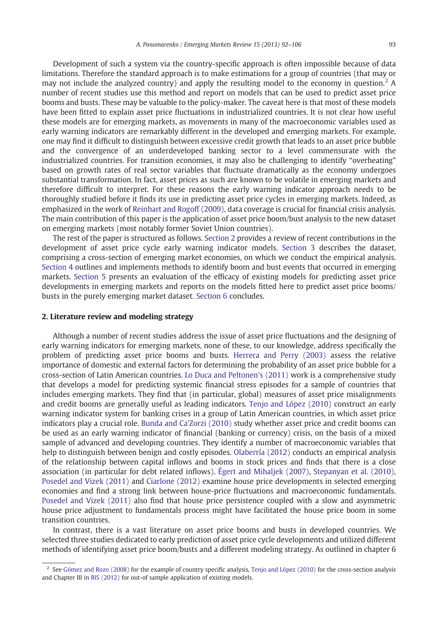Development of such a system via the country-specific approach is often impossible because of data limitations. Therefore the standard approach is to make estimations for a group of countries (that may or may not include the analyzed country) and apply the resulting model to the economy in question.<sup>2</sup> A number of recent studies use this method and report on models that can be used to predict asset price booms and busts. These may be valuable to the policy-maker. The caveat here is that most of these models have been fitted to explain asset price fluctuations in industrialized countries. It is not clear how useful these models are for emerging markets, as movements in many of the macroeconomic variables used as early warning indicators are remarkably different in the developed and emerging markets. For example, one may find it difficult to distinguish between excessive credit growth that leads to an asset price bubble and the convergence of an underdeveloped banking sector to a level commensurate with the industrialized countries. For transition economies, it may also be challenging to identify "overheating" based on growth rates of real sector variables that fluctuate dramatically as the economy undergoes substantial transformation. In fact, asset prices as such are known to be volatile in emerging markets and therefore difficult to interpret. For these reasons the early warning indicator approach needs to be thoroughly studied before it finds its use in predicting asset price cycles in emerging markets. Indeed, as emphasized in the work of [Reinhart and Rogoff \(2009\)](#page--1-0), data coverage is crucial for financial crisis analysis. The main contribution of this paper is the application of asset price boom/bust analysis to the new dataset on emerging markets (most notably former Soviet Union countries).

The rest of the paper is structured as follows. Section 2 provides a review of recent contributions in the development of asset price cycle early warning indicator models. [Section 3](#page--1-0) describes the dataset, comprising a cross-section of emerging market economies, on which we conduct the empirical analysis. [Section 4](#page--1-0) outlines and implements methods to identify boom and bust events that occurred in emerging markets. [Section 5](#page--1-0) presents an evaluation of the efficacy of existing models for predicting asset price developments in emerging markets and reports on the models fitted here to predict asset price booms/ busts in the purely emerging market dataset. [Section 6](#page--1-0) concludes.

### 2. Literature review and modeling strategy

Although a number of recent studies address the issue of asset price fluctuations and the designing of early warning indicators for emerging markets, none of these, to our knowledge, address specifically the problem of predicting asset price booms and busts. [Herrera and Perry \(2003\)](#page--1-0) assess the relative importance of domestic and external factors for determining the probability of an asset price bubble for a cross-section of Latin American countries. [Lo Duca and Peltonen's \(2011\)](#page--1-0) work is a comprehensive study that develops a model for predicting systemic financial stress episodes for a sample of countries that includes emerging markets. They find that (in particular, global) measures of asset price misalignments and credit booms are generally useful as leading indicators. [Tenjo and López \(2010\)](#page--1-0) construct an early warning indicator system for banking crises in a group of Latin American countries, in which asset price indicators play a crucial role. [Bunda and Ca'Zorzi \(2010\)](#page--1-0) study whether asset price and credit booms can be used as an early warning indicator of financial (banking or currency) crisis, on the basis of a mixed sample of advanced and developing countries. They identify a number of macroeconomic variables that help to distinguish between benign and costly episodes. [Olaberría \(2012\)](#page--1-0) conducts an empirical analysis of the relationship between capital inflows and booms in stock prices and finds that there is a close association (in particular for debt related inflows). [Égert and Mihaljek \(2007\)](#page--1-0), [Stepanyan et al. \(2010\)](#page--1-0), [Posedel and Vizek \(2011\)](#page--1-0) and [Ciarlone \(2012\)](#page--1-0) examine house price developments in selected emerging economies and find a strong link between house-price fluctuations and macroeconomic fundamentals. [Posedel and Vizek \(2011\)](#page--1-0) also find that house price persistence coupled with a slow and asymmetric house price adjustment to fundamentals process might have facilitated the house price boom in some transition countries.

In contrast, there is a vast literature on asset price booms and busts in developed countries. We selected three studies dedicated to early prediction of asset price cycle developments and utilized different methods of identifying asset price boom/busts and a different modeling strategy. As outlined in chapter 6

 $2$  See [Gómez and Rozo \(2008\)](#page--1-0) for the example of country specific analysis, [Tenjo and López \(2010\)](#page--1-0) for the cross-section analysis and Chapter III in [BIS \(2012\)](#page--1-0) for out-of sample application of existing models.